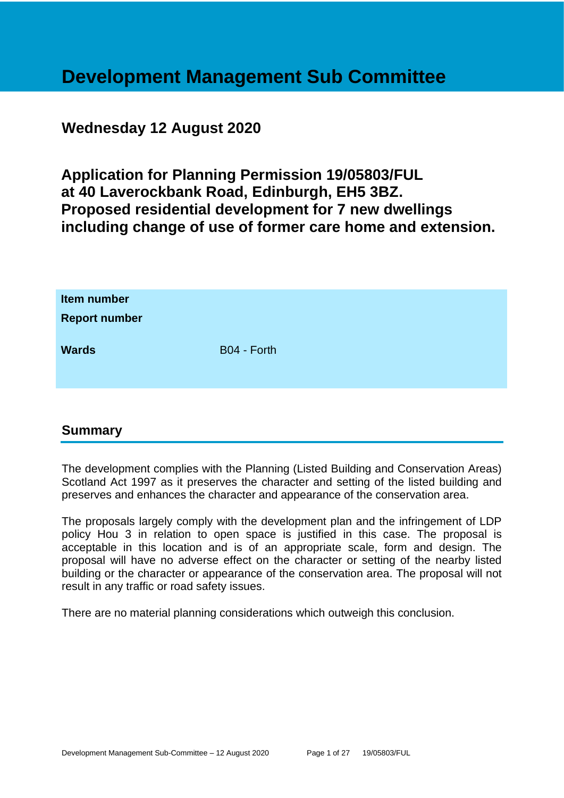# **Development Management Sub Committee**

# **Wednesday 12 August 2020**

**Application for Planning Permission 19/05803/FUL at 40 Laverockbank Road, Edinburgh, EH5 3BZ. Proposed residential development for 7 new dwellings including change of use of former care home and extension.**

| Item number<br><b>Report number</b> |             |
|-------------------------------------|-------------|
| <b>Wards</b>                        | B04 - Forth |

# **Summary**

The development complies with the Planning (Listed Building and Conservation Areas) Scotland Act 1997 as it preserves the character and setting of the listed building and preserves and enhances the character and appearance of the conservation area.

The proposals largely comply with the development plan and the infringement of LDP policy Hou 3 in relation to open space is justified in this case. The proposal is acceptable in this location and is of an appropriate scale, form and design. The proposal will have no adverse effect on the character or setting of the nearby listed building or the character or appearance of the conservation area. The proposal will not result in any traffic or road safety issues.

There are no material planning considerations which outweigh this conclusion.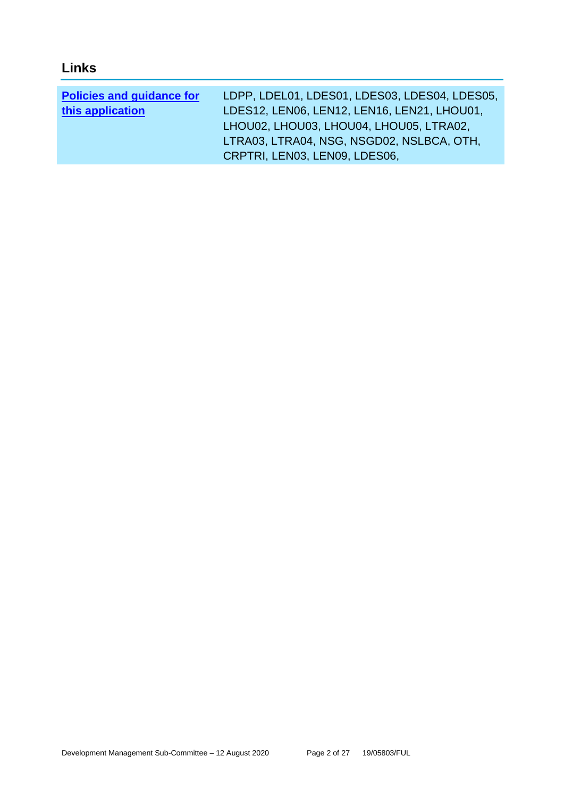# **Links**

| <b>Policies and guidance for</b> | LDPP, LDEL01, LDES01, LDES03, LDES04, LDES05, |
|----------------------------------|-----------------------------------------------|
| this application                 | LDES12, LEN06, LEN12, LEN16, LEN21, LHOU01,   |
|                                  | LHOU02, LHOU03, LHOU04, LHOU05, LTRA02,       |
|                                  | LTRA03, LTRA04, NSG, NSGD02, NSLBCA, OTH,     |
|                                  | CRPTRI, LEN03, LEN09, LDES06,                 |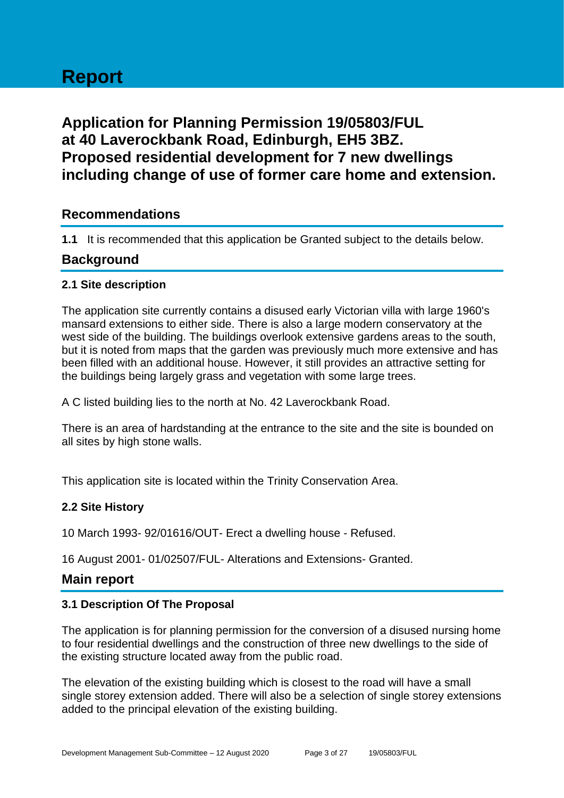# **Report**

# **Application for Planning Permission 19/05803/FUL at 40 Laverockbank Road, Edinburgh, EH5 3BZ. Proposed residential development for 7 new dwellings including change of use of former care home and extension.**

# **Recommendations**

**1.1** It is recommended that this application be Granted subject to the details below.

# **Background**

#### **2.1 Site description**

The application site currently contains a disused early Victorian villa with large 1960's mansard extensions to either side. There is also a large modern conservatory at the west side of the building. The buildings overlook extensive gardens areas to the south, but it is noted from maps that the garden was previously much more extensive and has been filled with an additional house. However, it still provides an attractive setting for the buildings being largely grass and vegetation with some large trees.

A C listed building lies to the north at No. 42 Laverockbank Road.

There is an area of hardstanding at the entrance to the site and the site is bounded on all sites by high stone walls.

This application site is located within the Trinity Conservation Area.

# **2.2 Site History**

10 March 1993- 92/01616/OUT- Erect a dwelling house - Refused.

16 August 2001- 01/02507/FUL- Alterations and Extensions- Granted.

# **Main report**

#### **3.1 Description Of The Proposal**

The application is for planning permission for the conversion of a disused nursing home to four residential dwellings and the construction of three new dwellings to the side of the existing structure located away from the public road.

The elevation of the existing building which is closest to the road will have a small single storey extension added. There will also be a selection of single storey extensions added to the principal elevation of the existing building.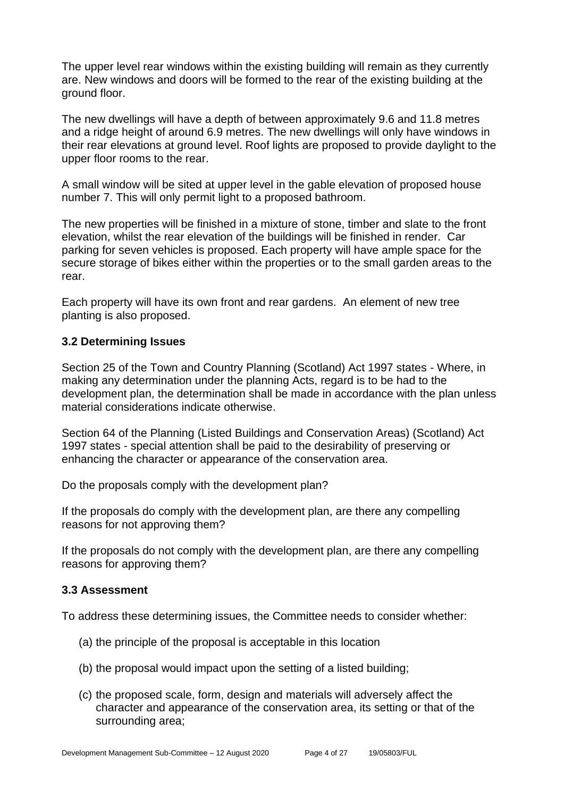The upper level rear windows within the existing building will remain as they currently are. New windows and doors will be formed to the rear of the existing building at the ground floor.

The new dwellings will have a depth of between approximately 9.6 and 11.8 metres and a ridge height of around 6.9 metres. The new dwellings will only have windows in their rear elevations at ground level. Roof lights are proposed to provide daylight to the upper floor rooms to the rear.

A small window will be sited at upper level in the gable elevation of proposed house number 7. This will only permit light to a proposed bathroom.

The new properties will be finished in a mixture of stone, timber and slate to the front elevation, whilst the rear elevation of the buildings will be finished in render. Car parking for seven vehicles is proposed. Each property will have ample space for the secure storage of bikes either within the properties or to the small garden areas to the rear.

Each property will have its own front and rear gardens. An element of new tree planting is also proposed.

#### **3.2 Determining Issues**

Section 25 of the Town and Country Planning (Scotland) Act 1997 states - Where, in making any determination under the planning Acts, regard is to be had to the development plan, the determination shall be made in accordance with the plan unless material considerations indicate otherwise.

Section 64 of the Planning (Listed Buildings and Conservation Areas) (Scotland) Act 1997 states - special attention shall be paid to the desirability of preserving or enhancing the character or appearance of the conservation area.

Do the proposals comply with the development plan?

If the proposals do comply with the development plan, are there any compelling reasons for not approving them?

If the proposals do not comply with the development plan, are there any compelling reasons for approving them?

#### **3.3 Assessment**

To address these determining issues, the Committee needs to consider whether:

- (a) the principle of the proposal is acceptable in this location
- (b) the proposal would impact upon the setting of a listed building;
- (c) the proposed scale, form, design and materials will adversely affect the character and appearance of the conservation area, its setting or that of the surrounding area;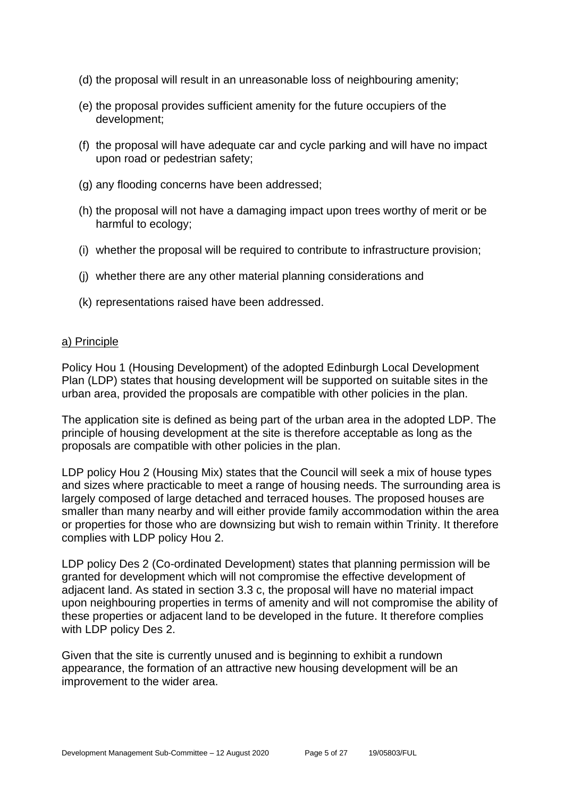- (d) the proposal will result in an unreasonable loss of neighbouring amenity;
- (e) the proposal provides sufficient amenity for the future occupiers of the development;
- (f) the proposal will have adequate car and cycle parking and will have no impact upon road or pedestrian safety;
- (g) any flooding concerns have been addressed;
- (h) the proposal will not have a damaging impact upon trees worthy of merit or be harmful to ecology;
- (i) whether the proposal will be required to contribute to infrastructure provision;
- (j) whether there are any other material planning considerations and
- (k) representations raised have been addressed.

#### a) Principle

Policy Hou 1 (Housing Development) of the adopted Edinburgh Local Development Plan (LDP) states that housing development will be supported on suitable sites in the urban area, provided the proposals are compatible with other policies in the plan.

The application site is defined as being part of the urban area in the adopted LDP. The principle of housing development at the site is therefore acceptable as long as the proposals are compatible with other policies in the plan.

LDP policy Hou 2 (Housing Mix) states that the Council will seek a mix of house types and sizes where practicable to meet a range of housing needs. The surrounding area is largely composed of large detached and terraced houses. The proposed houses are smaller than many nearby and will either provide family accommodation within the area or properties for those who are downsizing but wish to remain within Trinity. It therefore complies with LDP policy Hou 2.

LDP policy Des 2 (Co-ordinated Development) states that planning permission will be granted for development which will not compromise the effective development of adjacent land. As stated in section 3.3 c, the proposal will have no material impact upon neighbouring properties in terms of amenity and will not compromise the ability of these properties or adjacent land to be developed in the future. It therefore complies with LDP policy Des 2.

Given that the site is currently unused and is beginning to exhibit a rundown appearance, the formation of an attractive new housing development will be an improvement to the wider area.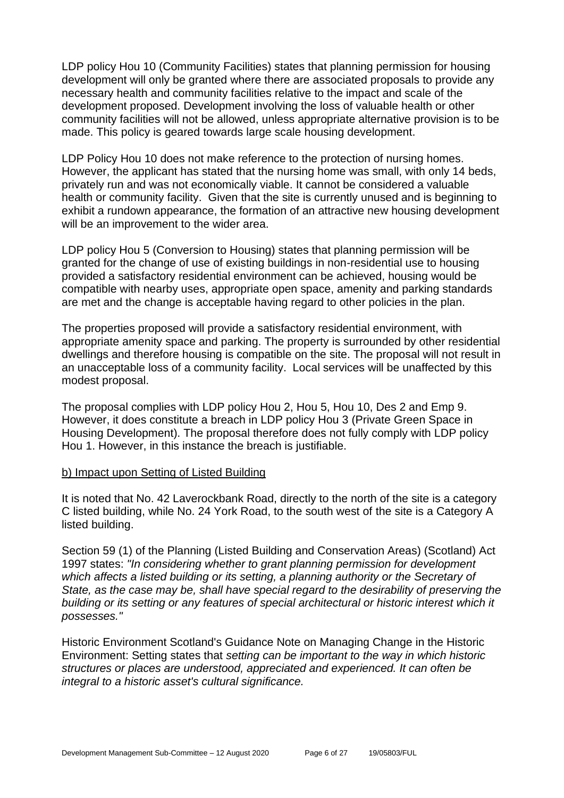LDP policy Hou 10 (Community Facilities) states that planning permission for housing development will only be granted where there are associated proposals to provide any necessary health and community facilities relative to the impact and scale of the development proposed. Development involving the loss of valuable health or other community facilities will not be allowed, unless appropriate alternative provision is to be made. This policy is geared towards large scale housing development.

LDP Policy Hou 10 does not make reference to the protection of nursing homes. However, the applicant has stated that the nursing home was small, with only 14 beds, privately run and was not economically viable. It cannot be considered a valuable health or community facility. Given that the site is currently unused and is beginning to exhibit a rundown appearance, the formation of an attractive new housing development will be an improvement to the wider area.

LDP policy Hou 5 (Conversion to Housing) states that planning permission will be granted for the change of use of existing buildings in non-residential use to housing provided a satisfactory residential environment can be achieved, housing would be compatible with nearby uses, appropriate open space, amenity and parking standards are met and the change is acceptable having regard to other policies in the plan.

The properties proposed will provide a satisfactory residential environment, with appropriate amenity space and parking. The property is surrounded by other residential dwellings and therefore housing is compatible on the site. The proposal will not result in an unacceptable loss of a community facility. Local services will be unaffected by this modest proposal.

The proposal complies with LDP policy Hou 2, Hou 5, Hou 10, Des 2 and Emp 9. However, it does constitute a breach in LDP policy Hou 3 (Private Green Space in Housing Development). The proposal therefore does not fully comply with LDP policy Hou 1. However, in this instance the breach is justifiable.

#### b) Impact upon Setting of Listed Building

It is noted that No. 42 Laverockbank Road, directly to the north of the site is a category C listed building, while No. 24 York Road, to the south west of the site is a Category A listed building.

Section 59 (1) of the Planning (Listed Building and Conservation Areas) (Scotland) Act 1997 states: *"In considering whether to grant planning permission for development which affects a listed building or its setting, a planning authority or the Secretary of State, as the case may be, shall have special regard to the desirability of preserving the building or its setting or any features of special architectural or historic interest which it possesses."*

Historic Environment Scotland's Guidance Note on Managing Change in the Historic Environment: Setting states that *setting can be important to the way in which historic structures or places are understood, appreciated and experienced. It can often be integral to a historic asset's cultural significance.*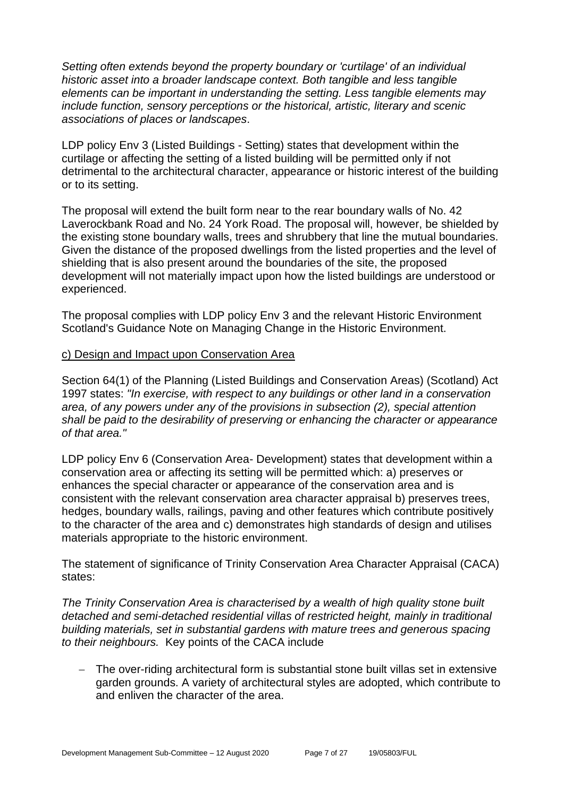*Setting often extends beyond the property boundary or 'curtilage' of an individual historic asset into a broader landscape context. Both tangible and less tangible elements can be important in understanding the setting. Less tangible elements may include function, sensory perceptions or the historical, artistic, literary and scenic associations of places or landscapes*.

LDP policy Env 3 (Listed Buildings - Setting) states that development within the curtilage or affecting the setting of a listed building will be permitted only if not detrimental to the architectural character, appearance or historic interest of the building or to its setting.

The proposal will extend the built form near to the rear boundary walls of No. 42 Laverockbank Road and No. 24 York Road. The proposal will, however, be shielded by the existing stone boundary walls, trees and shrubbery that line the mutual boundaries. Given the distance of the proposed dwellings from the listed properties and the level of shielding that is also present around the boundaries of the site, the proposed development will not materially impact upon how the listed buildings are understood or experienced.

The proposal complies with LDP policy Env 3 and the relevant Historic Environment Scotland's Guidance Note on Managing Change in the Historic Environment.

#### c) Design and Impact upon Conservation Area

Section 64(1) of the Planning (Listed Buildings and Conservation Areas) (Scotland) Act 1997 states: *"In exercise, with respect to any buildings or other land in a conservation area, of any powers under any of the provisions in subsection (2), special attention shall be paid to the desirability of preserving or enhancing the character or appearance of that area."*

LDP policy Env 6 (Conservation Area- Development) states that development within a conservation area or affecting its setting will be permitted which: a) preserves or enhances the special character or appearance of the conservation area and is consistent with the relevant conservation area character appraisal b) preserves trees, hedges, boundary walls, railings, paving and other features which contribute positively to the character of the area and c) demonstrates high standards of design and utilises materials appropriate to the historic environment.

The statement of significance of Trinity Conservation Area Character Appraisal (CACA) states:

*The Trinity Conservation Area is characterised by a wealth of high quality stone built detached and semi-detached residential villas of restricted height, mainly in traditional building materials, set in substantial gardens with mature trees and generous spacing to their neighbours.* Key points of the CACA include

− The over-riding architectural form is substantial stone built villas set in extensive garden grounds. A variety of architectural styles are adopted, which contribute to and enliven the character of the area.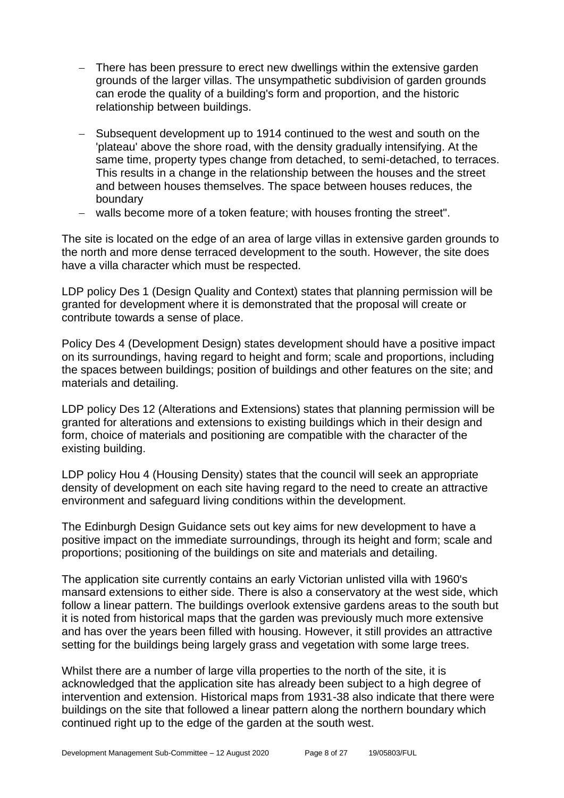- − There has been pressure to erect new dwellings within the extensive garden grounds of the larger villas. The unsympathetic subdivision of garden grounds can erode the quality of a building's form and proportion, and the historic relationship between buildings.
- − Subsequent development up to 1914 continued to the west and south on the 'plateau' above the shore road, with the density gradually intensifying. At the same time, property types change from detached, to semi-detached, to terraces. This results in a change in the relationship between the houses and the street and between houses themselves. The space between houses reduces, the boundary
- − walls become more of a token feature; with houses fronting the street".

The site is located on the edge of an area of large villas in extensive garden grounds to the north and more dense terraced development to the south. However, the site does have a villa character which must be respected.

LDP policy Des 1 (Design Quality and Context) states that planning permission will be granted for development where it is demonstrated that the proposal will create or contribute towards a sense of place.

Policy Des 4 (Development Design) states development should have a positive impact on its surroundings, having regard to height and form; scale and proportions, including the spaces between buildings; position of buildings and other features on the site; and materials and detailing.

LDP policy Des 12 (Alterations and Extensions) states that planning permission will be granted for alterations and extensions to existing buildings which in their design and form, choice of materials and positioning are compatible with the character of the existing building.

LDP policy Hou 4 (Housing Density) states that the council will seek an appropriate density of development on each site having regard to the need to create an attractive environment and safeguard living conditions within the development.

The Edinburgh Design Guidance sets out key aims for new development to have a positive impact on the immediate surroundings, through its height and form; scale and proportions; positioning of the buildings on site and materials and detailing.

The application site currently contains an early Victorian unlisted villa with 1960's mansard extensions to either side. There is also a conservatory at the west side, which follow a linear pattern. The buildings overlook extensive gardens areas to the south but it is noted from historical maps that the garden was previously much more extensive and has over the years been filled with housing. However, it still provides an attractive setting for the buildings being largely grass and vegetation with some large trees.

Whilst there are a number of large villa properties to the north of the site, it is acknowledged that the application site has already been subject to a high degree of intervention and extension. Historical maps from 1931-38 also indicate that there were buildings on the site that followed a linear pattern along the northern boundary which continued right up to the edge of the garden at the south west.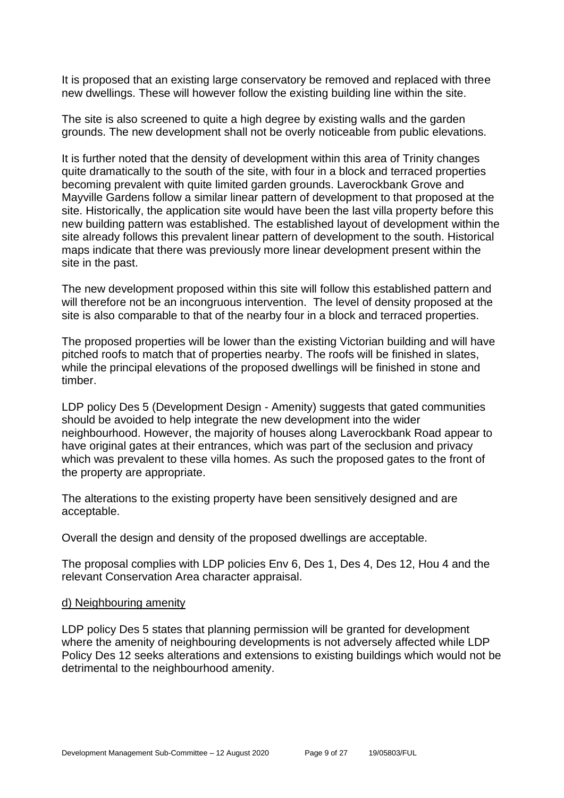It is proposed that an existing large conservatory be removed and replaced with three new dwellings. These will however follow the existing building line within the site.

The site is also screened to quite a high degree by existing walls and the garden grounds. The new development shall not be overly noticeable from public elevations.

It is further noted that the density of development within this area of Trinity changes quite dramatically to the south of the site, with four in a block and terraced properties becoming prevalent with quite limited garden grounds. Laverockbank Grove and Mayville Gardens follow a similar linear pattern of development to that proposed at the site. Historically, the application site would have been the last villa property before this new building pattern was established. The established layout of development within the site already follows this prevalent linear pattern of development to the south. Historical maps indicate that there was previously more linear development present within the site in the past.

The new development proposed within this site will follow this established pattern and will therefore not be an incongruous intervention. The level of density proposed at the site is also comparable to that of the nearby four in a block and terraced properties.

The proposed properties will be lower than the existing Victorian building and will have pitched roofs to match that of properties nearby. The roofs will be finished in slates, while the principal elevations of the proposed dwellings will be finished in stone and timber.

LDP policy Des 5 (Development Design - Amenity) suggests that gated communities should be avoided to help integrate the new development into the wider neighbourhood. However, the majority of houses along Laverockbank Road appear to have original gates at their entrances, which was part of the seclusion and privacy which was prevalent to these villa homes. As such the proposed gates to the front of the property are appropriate.

The alterations to the existing property have been sensitively designed and are acceptable.

Overall the design and density of the proposed dwellings are acceptable.

The proposal complies with LDP policies Env 6, Des 1, Des 4, Des 12, Hou 4 and the relevant Conservation Area character appraisal.

#### d) Neighbouring amenity

LDP policy Des 5 states that planning permission will be granted for development where the amenity of neighbouring developments is not adversely affected while LDP Policy Des 12 seeks alterations and extensions to existing buildings which would not be detrimental to the neighbourhood amenity.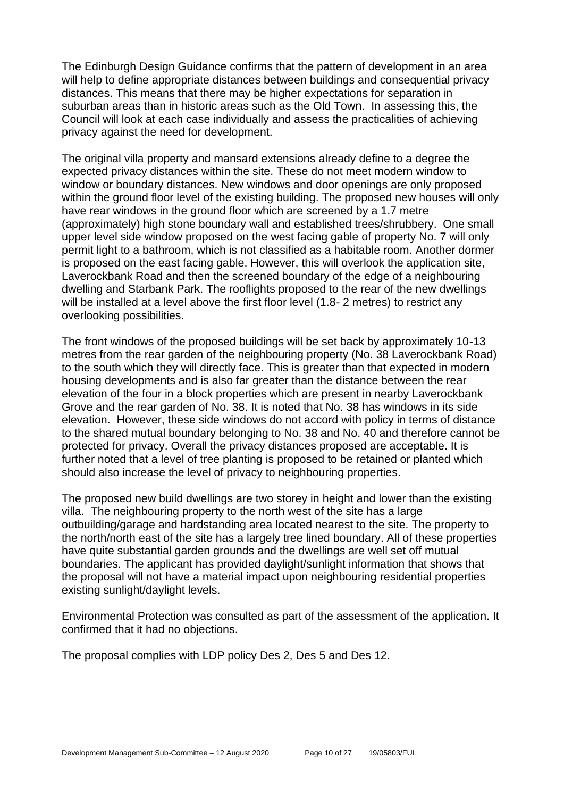The Edinburgh Design Guidance confirms that the pattern of development in an area will help to define appropriate distances between buildings and consequential privacy distances. This means that there may be higher expectations for separation in suburban areas than in historic areas such as the Old Town. In assessing this, the Council will look at each case individually and assess the practicalities of achieving privacy against the need for development.

The original villa property and mansard extensions already define to a degree the expected privacy distances within the site. These do not meet modern window to window or boundary distances. New windows and door openings are only proposed within the ground floor level of the existing building. The proposed new houses will only have rear windows in the ground floor which are screened by a 1.7 metre (approximately) high stone boundary wall and established trees/shrubbery. One small upper level side window proposed on the west facing gable of property No. 7 will only permit light to a bathroom, which is not classified as a habitable room. Another dormer is proposed on the east facing gable. However, this will overlook the application site, Laverockbank Road and then the screened boundary of the edge of a neighbouring dwelling and Starbank Park. The rooflights proposed to the rear of the new dwellings will be installed at a level above the first floor level (1.8- 2 metres) to restrict any overlooking possibilities.

The front windows of the proposed buildings will be set back by approximately 10-13 metres from the rear garden of the neighbouring property (No. 38 Laverockbank Road) to the south which they will directly face. This is greater than that expected in modern housing developments and is also far greater than the distance between the rear elevation of the four in a block properties which are present in nearby Laverockbank Grove and the rear garden of No. 38. It is noted that No. 38 has windows in its side elevation. However, these side windows do not accord with policy in terms of distance to the shared mutual boundary belonging to No. 38 and No. 40 and therefore cannot be protected for privacy. Overall the privacy distances proposed are acceptable. It is further noted that a level of tree planting is proposed to be retained or planted which should also increase the level of privacy to neighbouring properties.

The proposed new build dwellings are two storey in height and lower than the existing villa. The neighbouring property to the north west of the site has a large outbuilding/garage and hardstanding area located nearest to the site. The property to the north/north east of the site has a largely tree lined boundary. All of these properties have quite substantial garden grounds and the dwellings are well set off mutual boundaries. The applicant has provided daylight/sunlight information that shows that the proposal will not have a material impact upon neighbouring residential properties existing sunlight/daylight levels.

Environmental Protection was consulted as part of the assessment of the application. It confirmed that it had no objections.

The proposal complies with LDP policy Des 2, Des 5 and Des 12.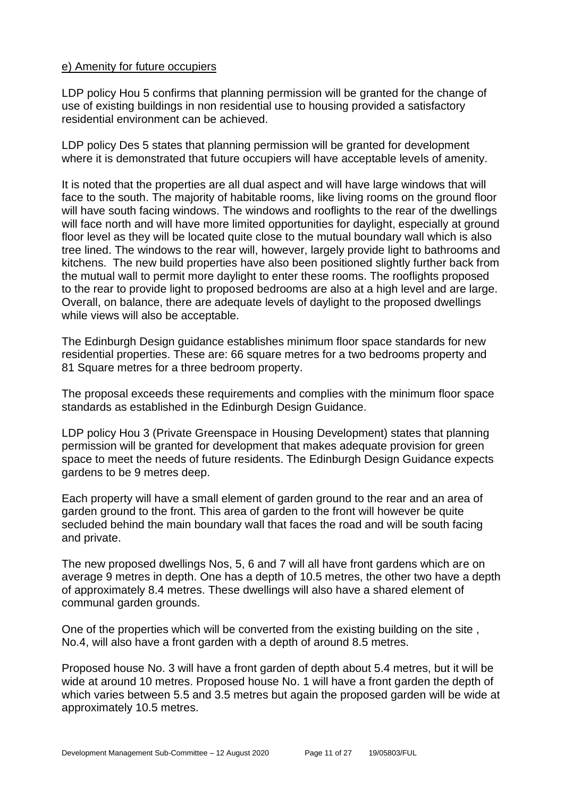#### e) Amenity for future occupiers

LDP policy Hou 5 confirms that planning permission will be granted for the change of use of existing buildings in non residential use to housing provided a satisfactory residential environment can be achieved.

LDP policy Des 5 states that planning permission will be granted for development where it is demonstrated that future occupiers will have acceptable levels of amenity.

It is noted that the properties are all dual aspect and will have large windows that will face to the south. The majority of habitable rooms, like living rooms on the ground floor will have south facing windows. The windows and rooflights to the rear of the dwellings will face north and will have more limited opportunities for daylight, especially at ground floor level as they will be located quite close to the mutual boundary wall which is also tree lined. The windows to the rear will, however, largely provide light to bathrooms and kitchens. The new build properties have also been positioned slightly further back from the mutual wall to permit more daylight to enter these rooms. The rooflights proposed to the rear to provide light to proposed bedrooms are also at a high level and are large. Overall, on balance, there are adequate levels of daylight to the proposed dwellings while views will also be acceptable.

The Edinburgh Design guidance establishes minimum floor space standards for new residential properties. These are: 66 square metres for a two bedrooms property and 81 Square metres for a three bedroom property.

The proposal exceeds these requirements and complies with the minimum floor space standards as established in the Edinburgh Design Guidance.

LDP policy Hou 3 (Private Greenspace in Housing Development) states that planning permission will be granted for development that makes adequate provision for green space to meet the needs of future residents. The Edinburgh Design Guidance expects gardens to be 9 metres deep.

Each property will have a small element of garden ground to the rear and an area of garden ground to the front. This area of garden to the front will however be quite secluded behind the main boundary wall that faces the road and will be south facing and private.

The new proposed dwellings Nos, 5, 6 and 7 will all have front gardens which are on average 9 metres in depth. One has a depth of 10.5 metres, the other two have a depth of approximately 8.4 metres. These dwellings will also have a shared element of communal garden grounds.

One of the properties which will be converted from the existing building on the site , No.4, will also have a front garden with a depth of around 8.5 metres.

Proposed house No. 3 will have a front garden of depth about 5.4 metres, but it will be wide at around 10 metres. Proposed house No. 1 will have a front garden the depth of which varies between 5.5 and 3.5 metres but again the proposed garden will be wide at approximately 10.5 metres.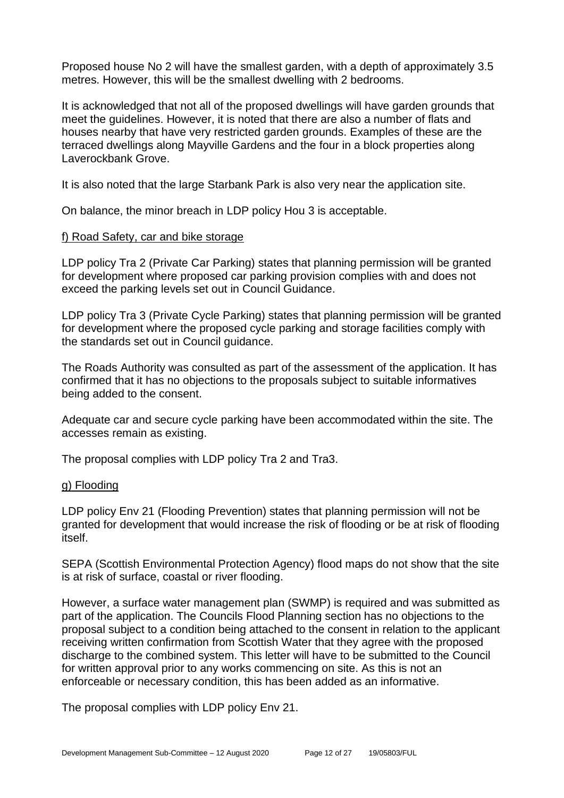Proposed house No 2 will have the smallest garden, with a depth of approximately 3.5 metres. However, this will be the smallest dwelling with 2 bedrooms.

It is acknowledged that not all of the proposed dwellings will have garden grounds that meet the guidelines. However, it is noted that there are also a number of flats and houses nearby that have very restricted garden grounds. Examples of these are the terraced dwellings along Mayville Gardens and the four in a block properties along Laverockbank Grove.

It is also noted that the large Starbank Park is also very near the application site.

On balance, the minor breach in LDP policy Hou 3 is acceptable.

#### f) Road Safety, car and bike storage

LDP policy Tra 2 (Private Car Parking) states that planning permission will be granted for development where proposed car parking provision complies with and does not exceed the parking levels set out in Council Guidance.

LDP policy Tra 3 (Private Cycle Parking) states that planning permission will be granted for development where the proposed cycle parking and storage facilities comply with the standards set out in Council guidance.

The Roads Authority was consulted as part of the assessment of the application. It has confirmed that it has no objections to the proposals subject to suitable informatives being added to the consent.

Adequate car and secure cycle parking have been accommodated within the site. The accesses remain as existing.

The proposal complies with LDP policy Tra 2 and Tra3.

#### g) Flooding

LDP policy Env 21 (Flooding Prevention) states that planning permission will not be granted for development that would increase the risk of flooding or be at risk of flooding itself.

SEPA (Scottish Environmental Protection Agency) flood maps do not show that the site is at risk of surface, coastal or river flooding.

However, a surface water management plan (SWMP) is required and was submitted as part of the application. The Councils Flood Planning section has no objections to the proposal subject to a condition being attached to the consent in relation to the applicant receiving written confirmation from Scottish Water that they agree with the proposed discharge to the combined system. This letter will have to be submitted to the Council for written approval prior to any works commencing on site. As this is not an enforceable or necessary condition, this has been added as an informative.

The proposal complies with LDP policy Env 21.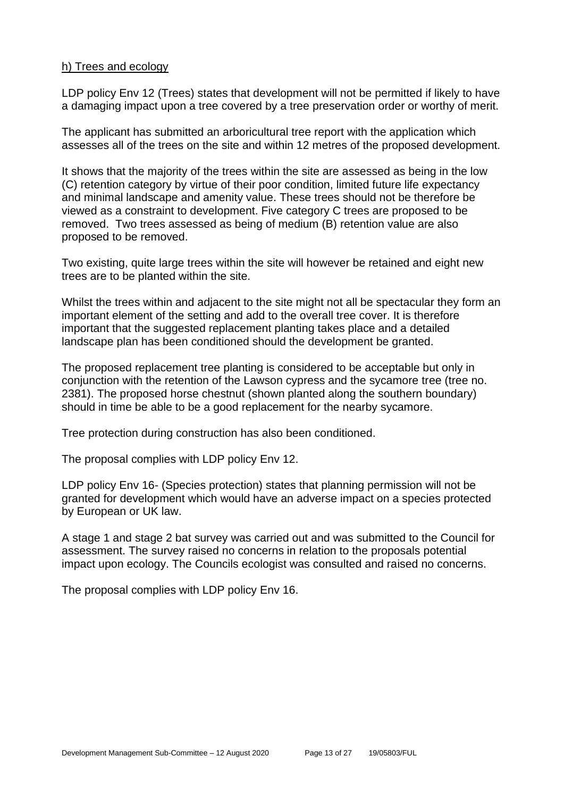#### h) Trees and ecology

LDP policy Env 12 (Trees) states that development will not be permitted if likely to have a damaging impact upon a tree covered by a tree preservation order or worthy of merit.

The applicant has submitted an arboricultural tree report with the application which assesses all of the trees on the site and within 12 metres of the proposed development.

It shows that the majority of the trees within the site are assessed as being in the low (C) retention category by virtue of their poor condition, limited future life expectancy and minimal landscape and amenity value. These trees should not be therefore be viewed as a constraint to development. Five category C trees are proposed to be removed. Two trees assessed as being of medium (B) retention value are also proposed to be removed.

Two existing, quite large trees within the site will however be retained and eight new trees are to be planted within the site.

Whilst the trees within and adjacent to the site might not all be spectacular they form an important element of the setting and add to the overall tree cover. It is therefore important that the suggested replacement planting takes place and a detailed landscape plan has been conditioned should the development be granted.

The proposed replacement tree planting is considered to be acceptable but only in conjunction with the retention of the Lawson cypress and the sycamore tree (tree no. 2381). The proposed horse chestnut (shown planted along the southern boundary) should in time be able to be a good replacement for the nearby sycamore.

Tree protection during construction has also been conditioned.

The proposal complies with LDP policy Env 12.

LDP policy Env 16- (Species protection) states that planning permission will not be granted for development which would have an adverse impact on a species protected by European or UK law.

A stage 1 and stage 2 bat survey was carried out and was submitted to the Council for assessment. The survey raised no concerns in relation to the proposals potential impact upon ecology. The Councils ecologist was consulted and raised no concerns.

The proposal complies with LDP policy Env 16.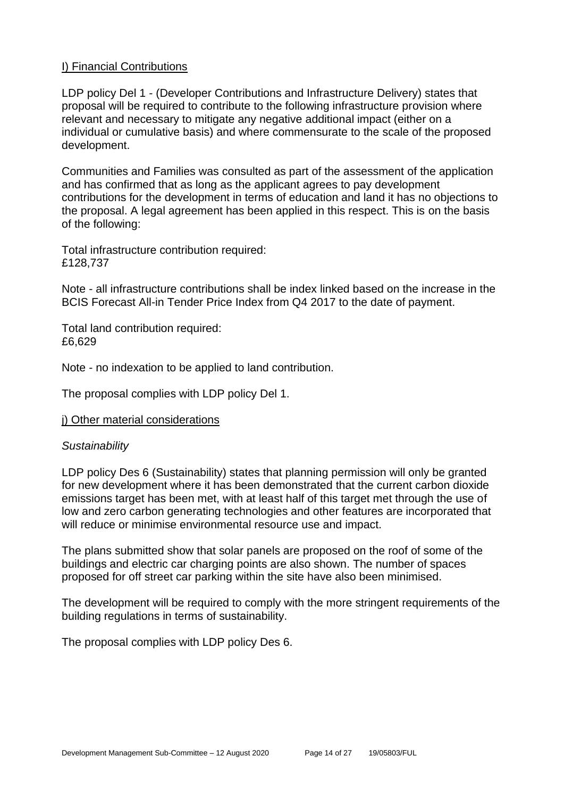#### I) Financial Contributions

LDP policy Del 1 - (Developer Contributions and Infrastructure Delivery) states that proposal will be required to contribute to the following infrastructure provision where relevant and necessary to mitigate any negative additional impact (either on a individual or cumulative basis) and where commensurate to the scale of the proposed development.

Communities and Families was consulted as part of the assessment of the application and has confirmed that as long as the applicant agrees to pay development contributions for the development in terms of education and land it has no objections to the proposal. A legal agreement has been applied in this respect. This is on the basis of the following:

Total infrastructure contribution required: £128,737

Note - all infrastructure contributions shall be index linked based on the increase in the BCIS Forecast All-in Tender Price Index from Q4 2017 to the date of payment.

Total land contribution required: £6,629

Note - no indexation to be applied to land contribution.

The proposal complies with LDP policy Del 1.

j) Other material considerations

#### *Sustainability*

LDP policy Des 6 (Sustainability) states that planning permission will only be granted for new development where it has been demonstrated that the current carbon dioxide emissions target has been met, with at least half of this target met through the use of low and zero carbon generating technologies and other features are incorporated that will reduce or minimise environmental resource use and impact.

The plans submitted show that solar panels are proposed on the roof of some of the buildings and electric car charging points are also shown. The number of spaces proposed for off street car parking within the site have also been minimised.

The development will be required to comply with the more stringent requirements of the building regulations in terms of sustainability.

The proposal complies with LDP policy Des 6.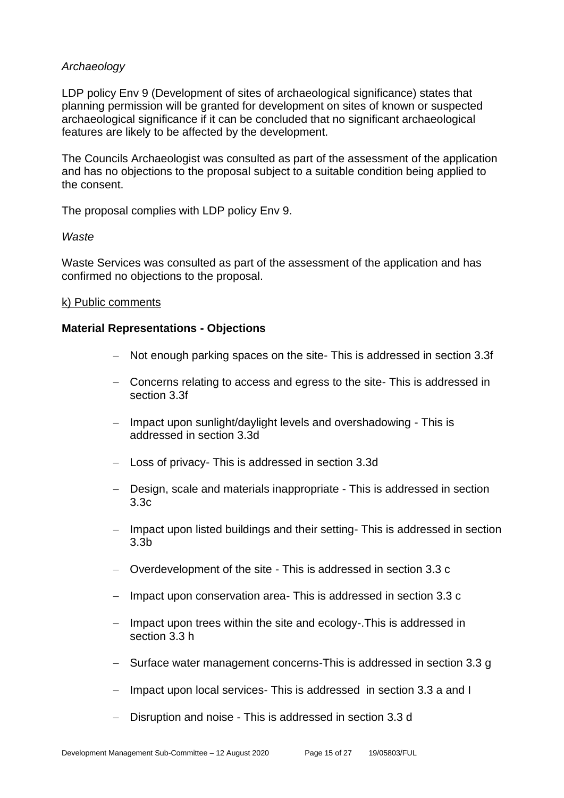#### *Archaeology*

LDP policy Env 9 (Development of sites of archaeological significance) states that planning permission will be granted for development on sites of known or suspected archaeological significance if it can be concluded that no significant archaeological features are likely to be affected by the development.

The Councils Archaeologist was consulted as part of the assessment of the application and has no objections to the proposal subject to a suitable condition being applied to the consent.

The proposal complies with LDP policy Env 9.

#### *Waste*

Waste Services was consulted as part of the assessment of the application and has confirmed no objections to the proposal.

#### k) Public comments

#### **Material Representations - Objections**

- − Not enough parking spaces on the site- This is addressed in section 3.3f
- − Concerns relating to access and egress to the site- This is addressed in section 3.3f
- − Impact upon sunlight/daylight levels and overshadowing This is addressed in section 3.3d
- − Loss of privacy- This is addressed in section 3.3d
- − Design, scale and materials inappropriate This is addressed in section 3.3c
- − Impact upon listed buildings and their setting- This is addressed in section 3.3b
- − Overdevelopment of the site This is addressed in section 3.3 c
- − Impact upon conservation area- This is addressed in section 3.3 c
- − Impact upon trees within the site and ecology-.This is addressed in section 3.3 h
- Surface water management concerns-This is addressed in section 3.3 g
- − Impact upon local services- This is addressed in section 3.3 a and I
- − Disruption and noise This is addressed in section 3.3 d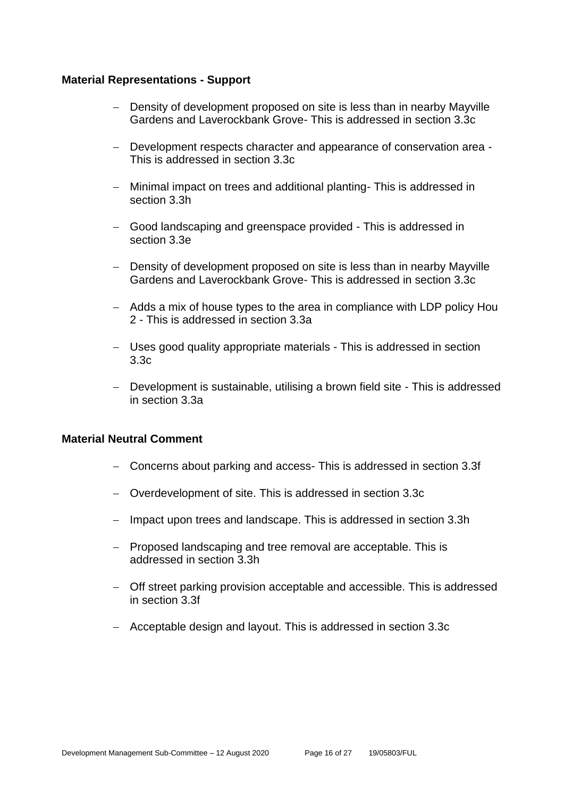#### **Material Representations - Support**

- − Density of development proposed on site is less than in nearby Mayville Gardens and Laverockbank Grove- This is addressed in section 3.3c
- − Development respects character and appearance of conservation area This is addressed in section 3.3c
- − Minimal impact on trees and additional planting- This is addressed in section 3.3h
- − Good landscaping and greenspace provided This is addressed in section 3.3e
- − Density of development proposed on site is less than in nearby Mayville Gardens and Laverockbank Grove- This is addressed in section 3.3c
- − Adds a mix of house types to the area in compliance with LDP policy Hou 2 - This is addressed in section 3.3a
- − Uses good quality appropriate materials This is addressed in section 3.3c
- − Development is sustainable, utilising a brown field site This is addressed in section 3.3a

#### **Material Neutral Comment**

- − Concerns about parking and access- This is addressed in section 3.3f
- − Overdevelopment of site. This is addressed in section 3.3c
- − Impact upon trees and landscape. This is addressed in section 3.3h
- − Proposed landscaping and tree removal are acceptable. This is addressed in section 3.3h
- − Off street parking provision acceptable and accessible. This is addressed in section 3.3f
- − Acceptable design and layout. This is addressed in section 3.3c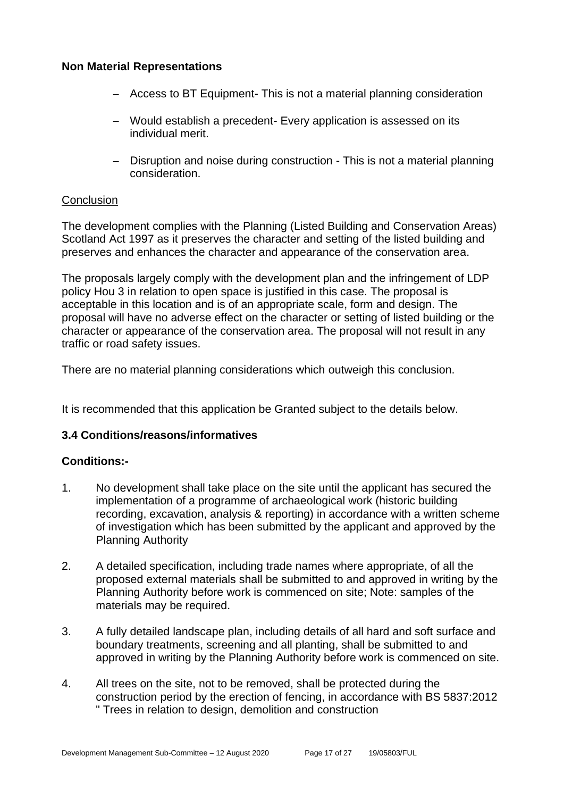#### **Non Material Representations**

- − Access to BT Equipment- This is not a material planning consideration
- − Would establish a precedent- Every application is assessed on its individual merit.
- − Disruption and noise during construction This is not a material planning consideration.

#### **Conclusion**

The development complies with the Planning (Listed Building and Conservation Areas) Scotland Act 1997 as it preserves the character and setting of the listed building and preserves and enhances the character and appearance of the conservation area.

The proposals largely comply with the development plan and the infringement of LDP policy Hou 3 in relation to open space is justified in this case. The proposal is acceptable in this location and is of an appropriate scale, form and design. The proposal will have no adverse effect on the character or setting of listed building or the character or appearance of the conservation area. The proposal will not result in any traffic or road safety issues.

There are no material planning considerations which outweigh this conclusion.

It is recommended that this application be Granted subject to the details below.

#### **3.4 Conditions/reasons/informatives**

# **Conditions:-**

- 1. No development shall take place on the site until the applicant has secured the implementation of a programme of archaeological work (historic building recording, excavation, analysis & reporting) in accordance with a written scheme of investigation which has been submitted by the applicant and approved by the Planning Authority
- 2. A detailed specification, including trade names where appropriate, of all the proposed external materials shall be submitted to and approved in writing by the Planning Authority before work is commenced on site; Note: samples of the materials may be required.
- 3. A fully detailed landscape plan, including details of all hard and soft surface and boundary treatments, screening and all planting, shall be submitted to and approved in writing by the Planning Authority before work is commenced on site.
- 4. All trees on the site, not to be removed, shall be protected during the construction period by the erection of fencing, in accordance with BS 5837:2012 " Trees in relation to design, demolition and construction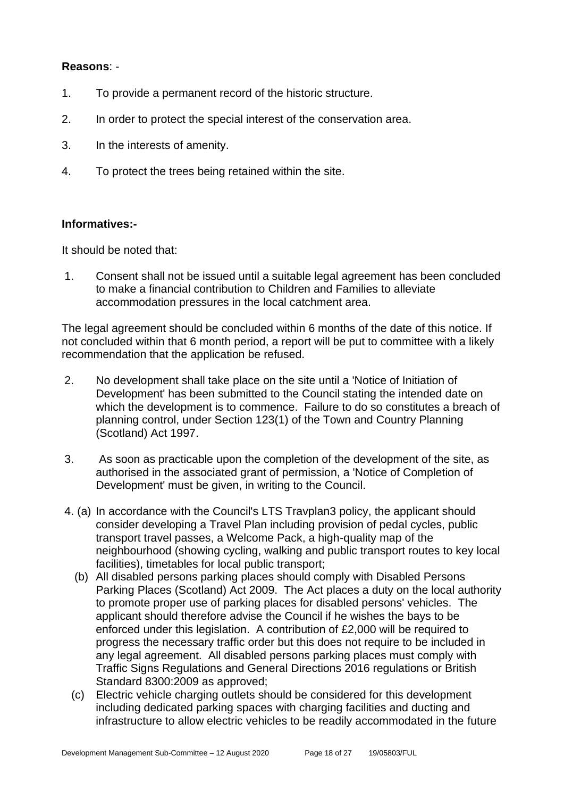#### **Reasons**: -

- 1. To provide a permanent record of the historic structure.
- 2. In order to protect the special interest of the conservation area.
- 3. In the interests of amenity.
- 4. To protect the trees being retained within the site.

#### **Informatives:-**

It should be noted that:

1. Consent shall not be issued until a suitable legal agreement has been concluded to make a financial contribution to Children and Families to alleviate accommodation pressures in the local catchment area.

The legal agreement should be concluded within 6 months of the date of this notice. If not concluded within that 6 month period, a report will be put to committee with a likely recommendation that the application be refused.

- 2. No development shall take place on the site until a 'Notice of Initiation of Development' has been submitted to the Council stating the intended date on which the development is to commence. Failure to do so constitutes a breach of planning control, under Section 123(1) of the Town and Country Planning (Scotland) Act 1997.
- 3. As soon as practicable upon the completion of the development of the site, as authorised in the associated grant of permission, a 'Notice of Completion of Development' must be given, in writing to the Council.
- 4. (a) In accordance with the Council's LTS Travplan3 policy, the applicant should consider developing a Travel Plan including provision of pedal cycles, public transport travel passes, a Welcome Pack, a high-quality map of the neighbourhood (showing cycling, walking and public transport routes to key local facilities), timetables for local public transport;
	- (b) All disabled persons parking places should comply with Disabled Persons Parking Places (Scotland) Act 2009. The Act places a duty on the local authority to promote proper use of parking places for disabled persons' vehicles. The applicant should therefore advise the Council if he wishes the bays to be enforced under this legislation. A contribution of £2,000 will be required to progress the necessary traffic order but this does not require to be included in any legal agreement. All disabled persons parking places must comply with Traffic Signs Regulations and General Directions 2016 regulations or British Standard 8300:2009 as approved;
	- (c) Electric vehicle charging outlets should be considered for this development including dedicated parking spaces with charging facilities and ducting and infrastructure to allow electric vehicles to be readily accommodated in the future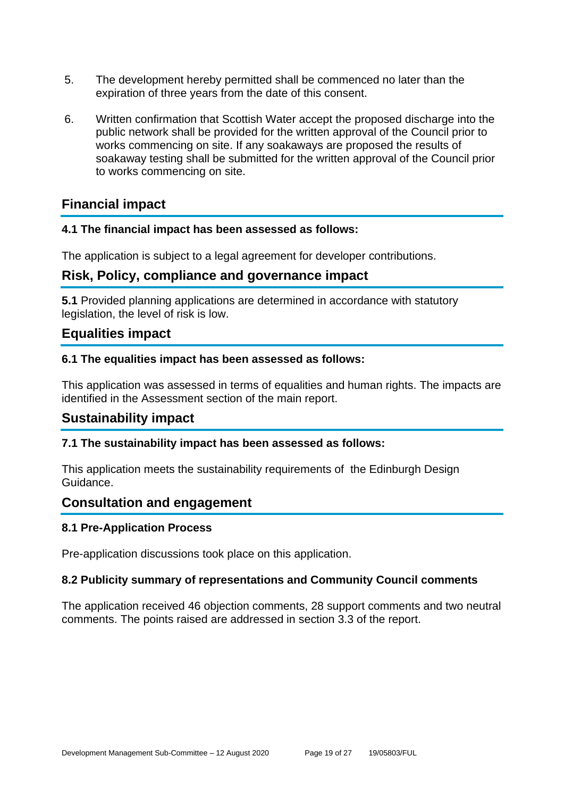- 5. The development hereby permitted shall be commenced no later than the expiration of three years from the date of this consent.
- 6. Written confirmation that Scottish Water accept the proposed discharge into the public network shall be provided for the written approval of the Council prior to works commencing on site. If any soakaways are proposed the results of soakaway testing shall be submitted for the written approval of the Council prior to works commencing on site.

# **Financial impact**

#### **4.1 The financial impact has been assessed as follows:**

The application is subject to a legal agreement for developer contributions.

# **Risk, Policy, compliance and governance impact**

**5.1** Provided planning applications are determined in accordance with statutory legislation, the level of risk is low.

# **Equalities impact**

#### **6.1 The equalities impact has been assessed as follows:**

This application was assessed in terms of equalities and human rights. The impacts are identified in the Assessment section of the main report.

# **Sustainability impact**

#### **7.1 The sustainability impact has been assessed as follows:**

This application meets the sustainability requirements of the Edinburgh Design Guidance.

# **Consultation and engagement**

#### **8.1 Pre-Application Process**

Pre-application discussions took place on this application.

#### **8.2 Publicity summary of representations and Community Council comments**

The application received 46 objection comments, 28 support comments and two neutral comments. The points raised are addressed in section 3.3 of the report.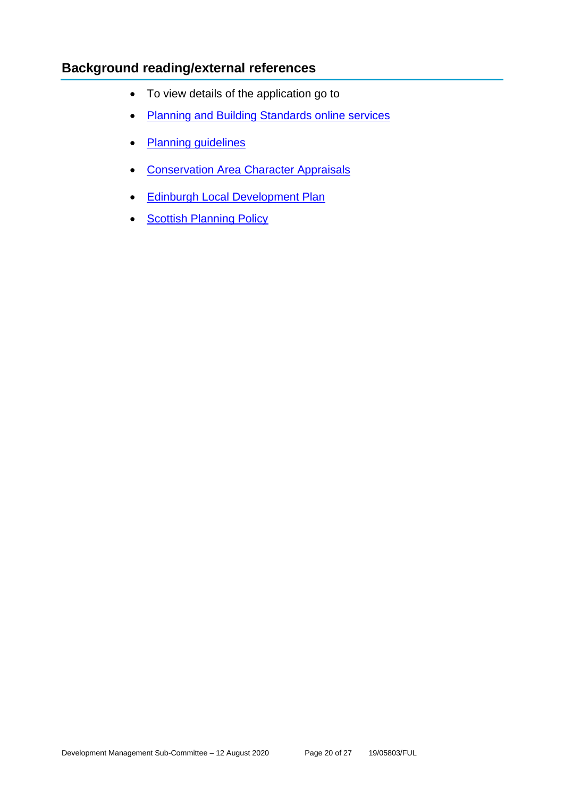# **Background reading/external references**

- To view details of the application go to
- [Planning and Building Standards online services](https://citydev-portal.edinburgh.gov.uk/idoxpa-web/search.do?action=simple&searchType=Application)
- [Planning guidelines](http://www.edinburgh.gov.uk/planningguidelines)
- [Conservation Area Character Appraisals](http://www.edinburgh.gov.uk/characterappraisals)
- [Edinburgh Local Development Plan](http://www.edinburgh.gov.uk/localdevelopmentplan)
- [Scottish Planning Policy](http://www.scotland.gov.uk/Topics/Built-Environment/planning/Policy)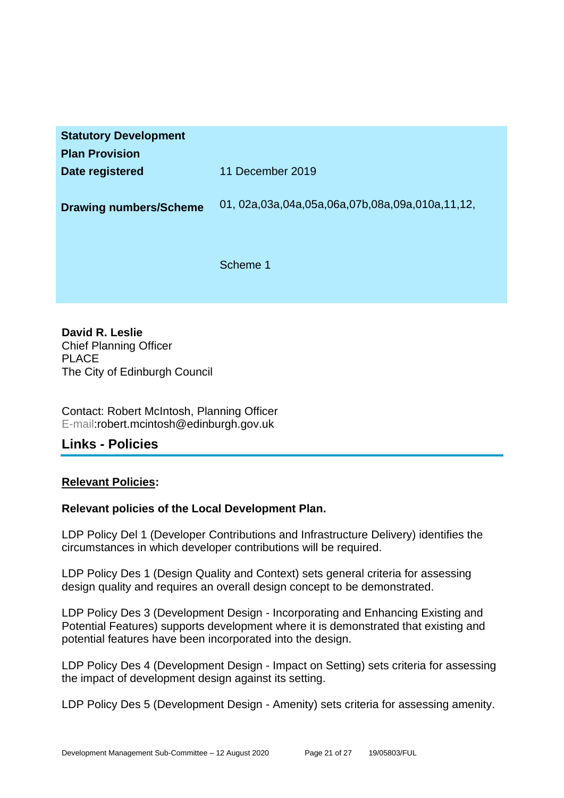| <b>Statutory Development</b><br><b>Plan Provision</b> |                                                           |
|-------------------------------------------------------|-----------------------------------------------------------|
| Date registered                                       | 11 December 2019                                          |
| <b>Drawing numbers/Scheme</b>                         | 01, 02a, 03a, 04a, 05a, 06a, 07b, 08a, 09a, 010a, 11, 12, |
|                                                       | Scheme 1                                                  |

**David R. Leslie** Chief Planning Officer PLACE The City of Edinburgh Council

Contact: Robert McIntosh, Planning Officer E-mail:robert.mcintosh@edinburgh.gov.uk

# **Links - Policies**

#### **Relevant Policies:**

#### **Relevant policies of the Local Development Plan.**

LDP Policy Del 1 (Developer Contributions and Infrastructure Delivery) identifies the circumstances in which developer contributions will be required.

LDP Policy Des 1 (Design Quality and Context) sets general criteria for assessing design quality and requires an overall design concept to be demonstrated.

LDP Policy Des 3 (Development Design - Incorporating and Enhancing Existing and Potential Features) supports development where it is demonstrated that existing and potential features have been incorporated into the design.

LDP Policy Des 4 (Development Design - Impact on Setting) sets criteria for assessing the impact of development design against its setting.

LDP Policy Des 5 (Development Design - Amenity) sets criteria for assessing amenity.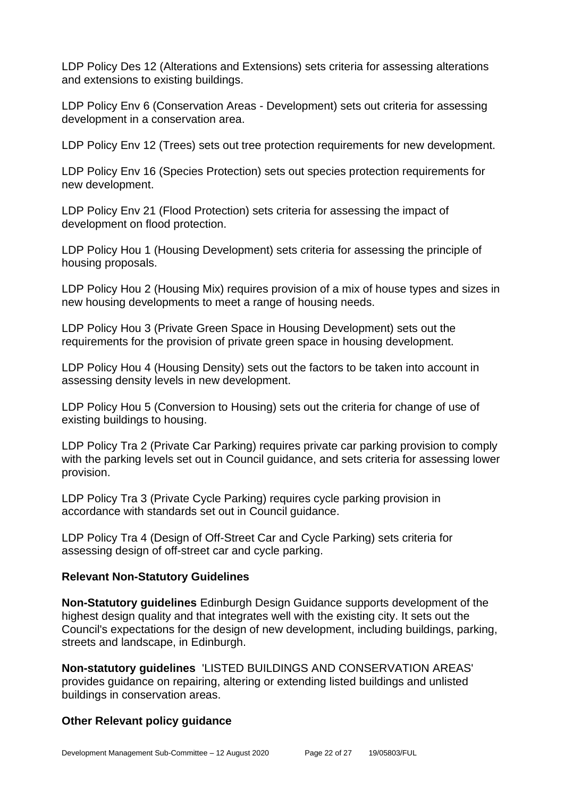LDP Policy Des 12 (Alterations and Extensions) sets criteria for assessing alterations and extensions to existing buildings.

LDP Policy Env 6 (Conservation Areas - Development) sets out criteria for assessing development in a conservation area.

LDP Policy Env 12 (Trees) sets out tree protection requirements for new development.

LDP Policy Env 16 (Species Protection) sets out species protection requirements for new development.

LDP Policy Env 21 (Flood Protection) sets criteria for assessing the impact of development on flood protection.

LDP Policy Hou 1 (Housing Development) sets criteria for assessing the principle of housing proposals.

LDP Policy Hou 2 (Housing Mix) requires provision of a mix of house types and sizes in new housing developments to meet a range of housing needs.

LDP Policy Hou 3 (Private Green Space in Housing Development) sets out the requirements for the provision of private green space in housing development.

LDP Policy Hou 4 (Housing Density) sets out the factors to be taken into account in assessing density levels in new development.

LDP Policy Hou 5 (Conversion to Housing) sets out the criteria for change of use of existing buildings to housing.

LDP Policy Tra 2 (Private Car Parking) requires private car parking provision to comply with the parking levels set out in Council guidance, and sets criteria for assessing lower provision.

LDP Policy Tra 3 (Private Cycle Parking) requires cycle parking provision in accordance with standards set out in Council guidance.

LDP Policy Tra 4 (Design of Off-Street Car and Cycle Parking) sets criteria for assessing design of off-street car and cycle parking.

#### **Relevant Non-Statutory Guidelines**

**Non-Statutory guidelines** Edinburgh Design Guidance supports development of the highest design quality and that integrates well with the existing city. It sets out the Council's expectations for the design of new development, including buildings, parking, streets and landscape, in Edinburgh.

**Non-statutory guidelines** 'LISTED BUILDINGS AND CONSERVATION AREAS' provides guidance on repairing, altering or extending listed buildings and unlisted buildings in conservation areas.

#### **Other Relevant policy guidance**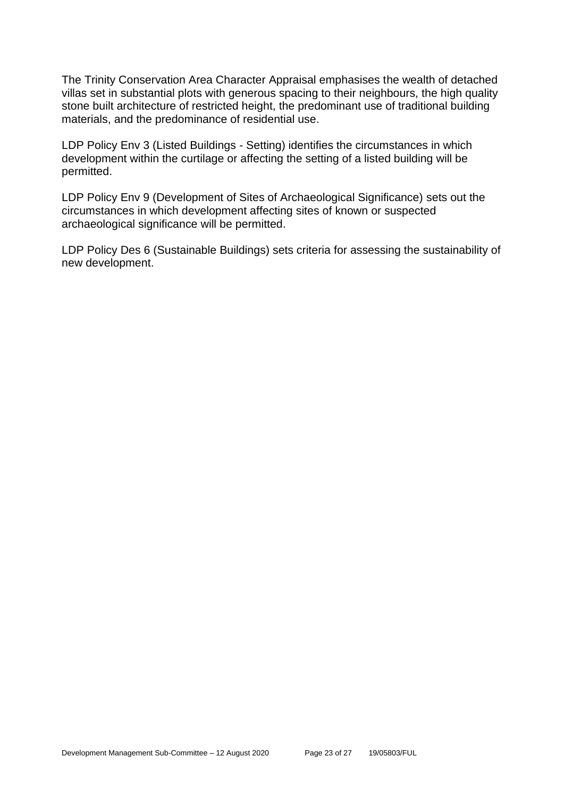The Trinity Conservation Area Character Appraisal emphasises the wealth of detached villas set in substantial plots with generous spacing to their neighbours, the high quality stone built architecture of restricted height, the predominant use of traditional building materials, and the predominance of residential use.

LDP Policy Env 3 (Listed Buildings - Setting) identifies the circumstances in which development within the curtilage or affecting the setting of a listed building will be permitted.

LDP Policy Env 9 (Development of Sites of Archaeological Significance) sets out the circumstances in which development affecting sites of known or suspected archaeological significance will be permitted.

LDP Policy Des 6 (Sustainable Buildings) sets criteria for assessing the sustainability of new development.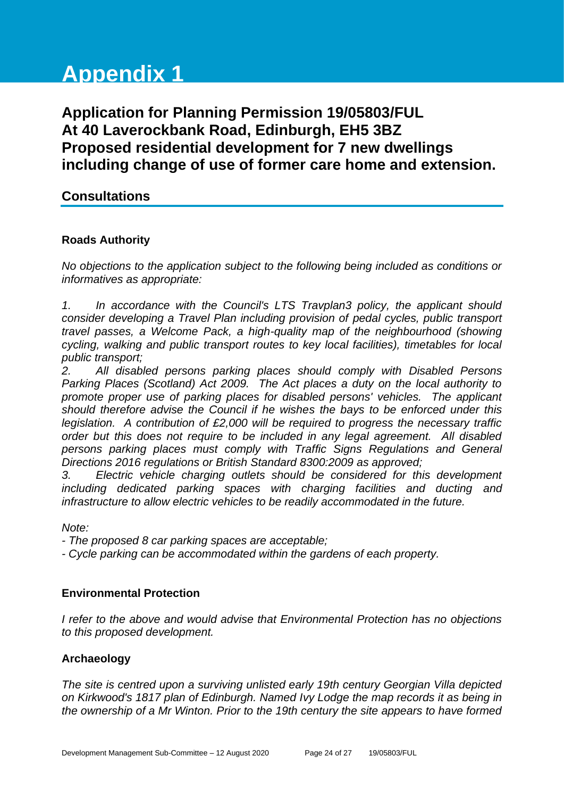# **Appendix 1**

**Application for Planning Permission 19/05803/FUL At 40 Laverockbank Road, Edinburgh, EH5 3BZ Proposed residential development for 7 new dwellings including change of use of former care home and extension.**

# **Consultations**

#### **Roads Authority**

*No objections to the application subject to the following being included as conditions or informatives as appropriate:*

*1. In accordance with the Council's LTS Travplan3 policy, the applicant should consider developing a Travel Plan including provision of pedal cycles, public transport travel passes, a Welcome Pack, a high-quality map of the neighbourhood (showing cycling, walking and public transport routes to key local facilities), timetables for local public transport;*

*2. All disabled persons parking places should comply with Disabled Persons Parking Places (Scotland) Act 2009. The Act places a duty on the local authority to promote proper use of parking places for disabled persons' vehicles. The applicant should therefore advise the Council if he wishes the bays to be enforced under this legislation. A contribution of £2,000 will be required to progress the necessary traffic order but this does not require to be included in any legal agreement. All disabled persons parking places must comply with Traffic Signs Regulations and General Directions 2016 regulations or British Standard 8300:2009 as approved;*

*3. Electric vehicle charging outlets should be considered for this development including dedicated parking spaces with charging facilities and ducting and infrastructure to allow electric vehicles to be readily accommodated in the future.*

*Note:*

*- The proposed 8 car parking spaces are acceptable;*

*- Cycle parking can be accommodated within the gardens of each property.*

# **Environmental Protection**

*I refer to the above and would advise that Environmental Protection has no objections to this proposed development.*

# **Archaeology**

*The site is centred upon a surviving unlisted early 19th century Georgian Villa depicted on Kirkwood's 1817 plan of Edinburgh. Named Ivy Lodge the map records it as being in the ownership of a Mr Winton. Prior to the 19th century the site appears to have formed*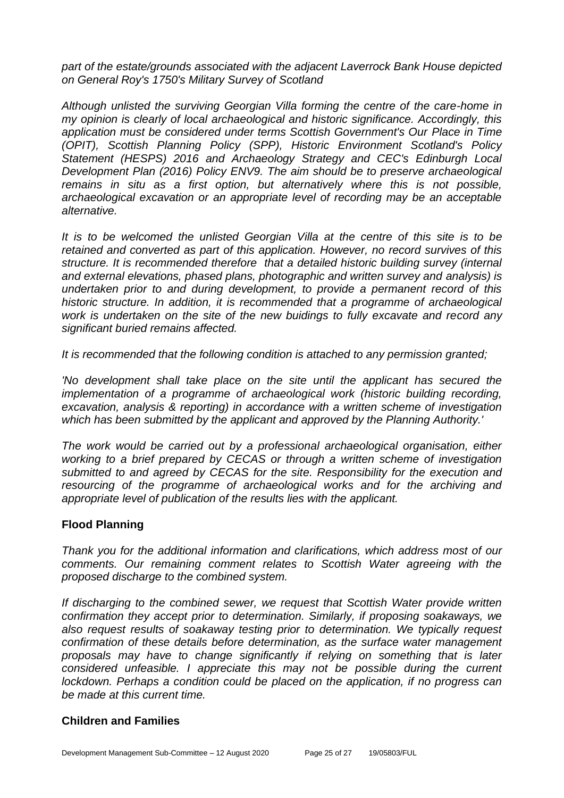*part of the estate/grounds associated with the adjacent Laverrock Bank House depicted on General Roy's 1750's Military Survey of Scotland*

*Although unlisted the surviving Georgian Villa forming the centre of the care-home in my opinion is clearly of local archaeological and historic significance. Accordingly, this application must be considered under terms Scottish Government's Our Place in Time (OPIT), Scottish Planning Policy (SPP), Historic Environment Scotland's Policy Statement (HESPS) 2016 and Archaeology Strategy and CEC's Edinburgh Local Development Plan (2016) Policy ENV9. The aim should be to preserve archaeological remains in situ as a first option, but alternatively where this is not possible, archaeological excavation or an appropriate level of recording may be an acceptable alternative.*

*It is to be welcomed the unlisted Georgian Villa at the centre of this site is to be retained and converted as part of this application. However, no record survives of this structure. It is recommended therefore that a detailed historic building survey (internal and external elevations, phased plans, photographic and written survey and analysis) is undertaken prior to and during development, to provide a permanent record of this historic structure. In addition, it is recommended that a programme of archaeological work is undertaken on the site of the new buidings to fully excavate and record any significant buried remains affected.*

*It is recommended that the following condition is attached to any permission granted;* 

*'No development shall take place on the site until the applicant has secured the implementation of a programme of archaeological work (historic building recording, excavation, analysis & reporting) in accordance with a written scheme of investigation which has been submitted by the applicant and approved by the Planning Authority.'* 

*The work would be carried out by a professional archaeological organisation, either working to a brief prepared by CECAS or through a written scheme of investigation submitted to and agreed by CECAS for the site. Responsibility for the execution and resourcing of the programme of archaeological works and for the archiving and appropriate level of publication of the results lies with the applicant.*

#### **Flood Planning**

*Thank you for the additional information and clarifications, which address most of our comments. Our remaining comment relates to Scottish Water agreeing with the proposed discharge to the combined system.* 

*If discharging to the combined sewer, we request that Scottish Water provide written confirmation they accept prior to determination. Similarly, if proposing soakaways, we also request results of soakaway testing prior to determination. We typically request confirmation of these details before determination, as the surface water management proposals may have to change significantly if relying on something that is later considered unfeasible. I appreciate this may not be possible during the current lockdown. Perhaps a condition could be placed on the application, if no progress can be made at this current time.*

#### **Children and Families**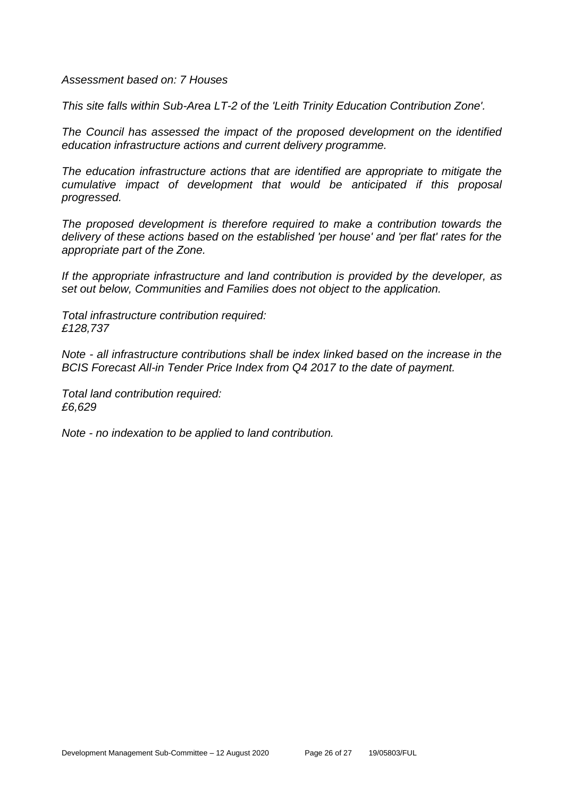*Assessment based on: 7 Houses*

*This site falls within Sub-Area LT-2 of the 'Leith Trinity Education Contribution Zone'.* 

*The Council has assessed the impact of the proposed development on the identified education infrastructure actions and current delivery programme.* 

*The education infrastructure actions that are identified are appropriate to mitigate the cumulative impact of development that would be anticipated if this proposal progressed.* 

*The proposed development is therefore required to make a contribution towards the delivery of these actions based on the established 'per house' and 'per flat' rates for the appropriate part of the Zone.*

*If the appropriate infrastructure and land contribution is provided by the developer, as set out below, Communities and Families does not object to the application.*

*Total infrastructure contribution required: £128,737*

*Note - all infrastructure contributions shall be index linked based on the increase in the BCIS Forecast All-in Tender Price Index from Q4 2017 to the date of payment.* 

*Total land contribution required: £6,629*

*Note - no indexation to be applied to land contribution.*